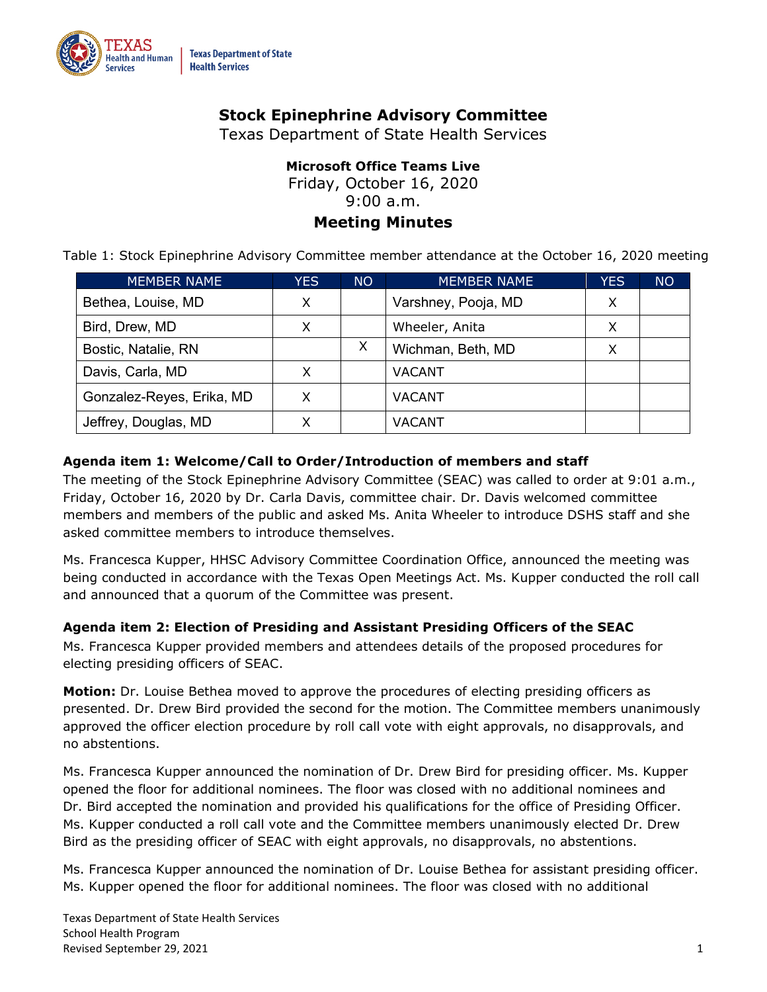

# **Stock Epinephrine Advisory Committee**

Texas Department of State Health Services

# **Microsoft Office Teams Live**

Friday, October 16, 2020

9:00 a.m.

# **Meeting Minutes**

Table 1: Stock Epinephrine Advisory Committee member attendance at the October 16, 2020 meeting

| MEMBER NAME               | YES. | <b>NO</b> | <b>MEMBER NAME</b>  | <b>YES</b> | <b>NO</b> |
|---------------------------|------|-----------|---------------------|------------|-----------|
| Bethea, Louise, MD        | х    |           | Varshney, Pooja, MD | Χ          |           |
| Bird, Drew, MD            | X    |           | Wheeler, Anita      | Χ          |           |
| Bostic, Natalie, RN       |      | X         | Wichman, Beth, MD   | х          |           |
| Davis, Carla, MD          | X    |           | VACANT              |            |           |
| Gonzalez-Reyes, Erika, MD | X    |           | <b>VACANT</b>       |            |           |
| Jeffrey, Douglas, MD      |      |           | VACANT              |            |           |

## **Agenda item 1: Welcome/Call to Order/Introduction of members and staff**

 The meeting of the Stock Epinephrine Advisory Committee (SEAC) was called to order at 9:01 a.m., Friday, October 16, 2020 by Dr. Carla Davis, committee chair. Dr. Davis welcomed committee members and members of the public and asked Ms. Anita Wheeler to introduce DSHS staff and she asked committee members to introduce themselves.

 Ms. Francesca Kupper, HHSC Advisory Committee Coordination Office, announced the meeting was being conducted in accordance with the Texas Open Meetings Act. Ms. Kupper conducted the roll call and announced that a quorum of the Committee was present.

#### **Agenda item 2: Election of Presiding and Assistant Presiding Officers of the SEAC**

 Ms. Francesca Kupper provided members and attendees details of the proposed procedures for electing presiding officers of SEAC.

 **Motion:** Dr. Louise Bethea moved to approve the procedures of electing presiding officers as presented. Dr. Drew Bird provided the second for the motion. The Committee members unanimously approved the officer election procedure by roll call vote with eight approvals, no disapprovals, and no abstentions.

 Ms. Francesca Kupper announced the nomination of Dr. Drew Bird for presiding officer. Ms. Kupper opened the floor for additional nominees. The floor was closed with no additional nominees and Dr. Bird accepted the nomination and provided his qualifications for the office of Presiding Officer. Ms. Kupper conducted a roll call vote and the Committee members unanimously elected Dr. Drew Bird as the presiding officer of SEAC with eight approvals, no disapprovals, no abstentions.

 Ms. Francesca Kupper announced the nomination of Dr. Louise Bethea for assistant presiding officer. Ms. Kupper opened the floor for additional nominees. The floor was closed with no additional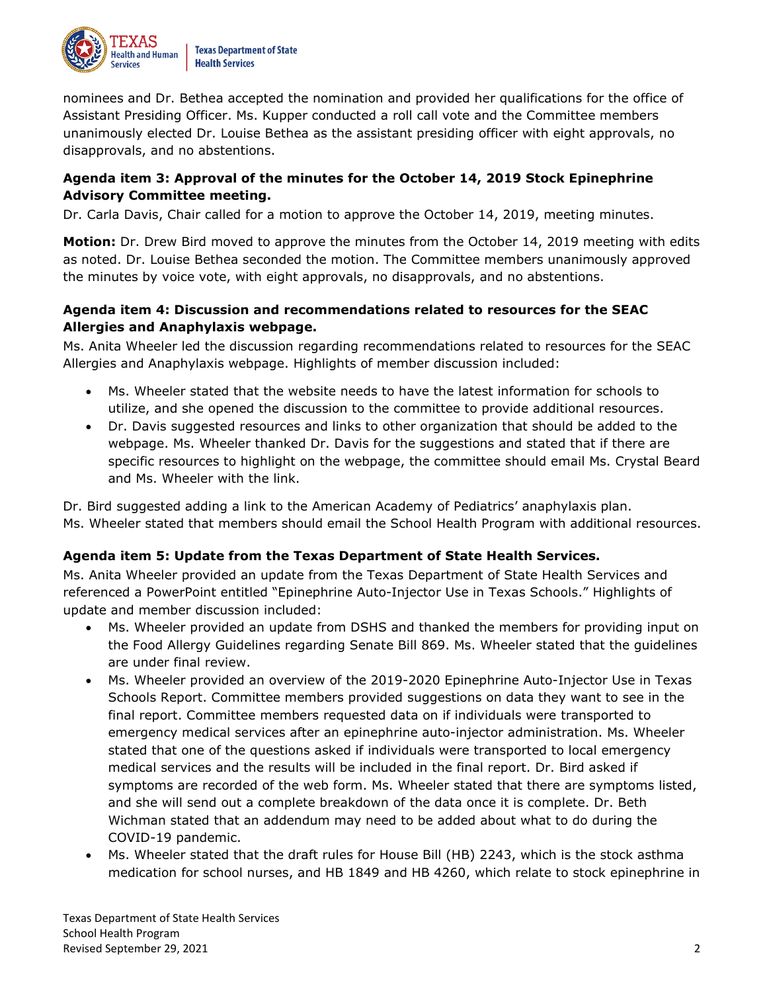

 nominees and Dr. Bethea accepted the nomination and provided her qualifications for the office of Assistant Presiding Officer. Ms. Kupper conducted a roll call vote and the Committee members unanimously elected Dr. Louise Bethea as the assistant presiding officer with eight approvals, no disapprovals, and no abstentions.

## **Agenda item 3: Approval of the minutes for the October 14, 2019 Stock Epinephrine Advisory Committee meeting.**

Dr. Carla Davis, Chair called for a motion to approve the October 14, 2019, meeting minutes.

 **Motion:** Dr. Drew Bird moved to approve the minutes from the October 14, 2019 meeting with edits as noted. Dr. Louise Bethea seconded the motion. The Committee members unanimously approved the minutes by voice vote, with eight approvals, no disapprovals, and no abstentions.

## **Agenda item 4: Discussion and recommendations related to resources for the SEAC Allergies and Anaphylaxis webpage.**

 Ms. Anita Wheeler led the discussion regarding recommendations related to resources for the SEAC Allergies and Anaphylaxis webpage. Highlights of member discussion included:

- • Ms. Wheeler stated that the website needs to have the latest information for schools to utilize, and she opened the discussion to the committee to provide additional resources.
- • Dr. Davis suggested resources and links to other organization that should be added to the webpage. Ms. Wheeler thanked Dr. Davis for the suggestions and stated that if there are specific resources to highlight on the webpage, the committee should email Ms. Crystal Beard and Ms. Wheeler with the link.

 Dr. Bird suggested adding a link to the American Academy of Pediatrics' anaphylaxis plan. Ms. Wheeler stated that members should email the School Health Program with additional resources.

## **Agenda item 5: Update from the Texas Department of State Health Services.**

 Ms. Anita Wheeler provided an update from the Texas Department of State Health Services and referenced a PowerPoint entitled "Epinephrine Auto-Injector Use in Texas Schools." Highlights of update and member discussion included:

- • Ms. Wheeler provided an update from DSHS and thanked the members for providing input on the Food Allergy Guidelines regarding Senate Bill 869. Ms. Wheeler stated that the guidelines are under final review.
- • Ms. Wheeler provided an overview of the 2019-2020 Epinephrine Auto-Injector Use in Texas Schools Report. Committee members provided suggestions on data they want to see in the final report. Committee members requested data on if individuals were transported to emergency medical services after an epinephrine auto-injector administration. Ms. Wheeler stated that one of the questions asked if individuals were transported to local emergency medical services and the results will be included in the final report. Dr. Bird asked if symptoms are recorded of the web form. Ms. Wheeler stated that there are symptoms listed, and she will send out a complete breakdown of the data once it is complete. Dr. Beth Wichman stated that an addendum may need to be added about what to do during the COVID-19 pandemic.
- • Ms. Wheeler stated that the draft rules for House Bill (HB) 2243, which is the stock asthma medication for school nurses, and HB 1849 and HB 4260, which relate to stock epinephrine in